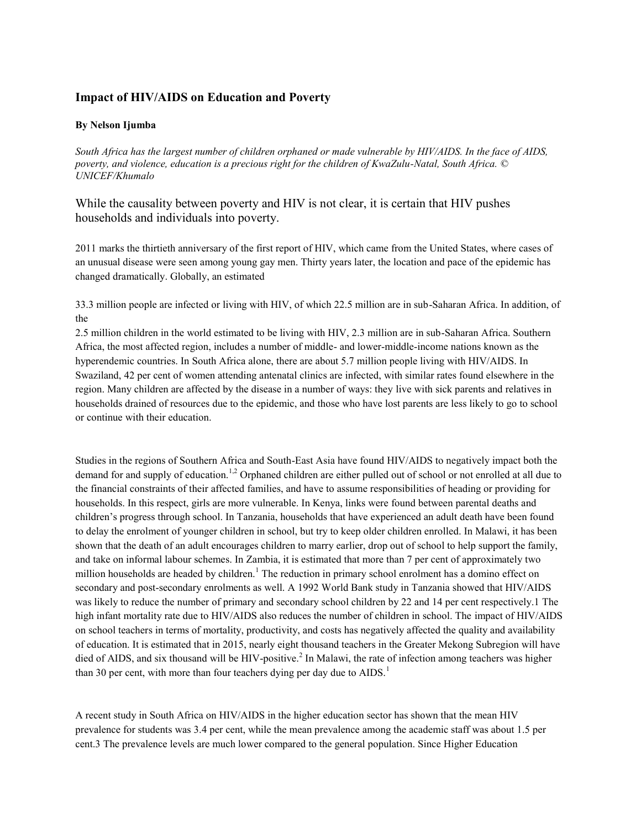## **Impact of HIV/AIDS on Education and Poverty**

## **By Nelson Ijumba**

*South Africa has the largest number of children orphaned or made vulnerable by HIV/AIDS. In the face of AIDS, poverty, and violence, education is a precious right for the children of KwaZulu-Natal, South Africa. © UNICEF/Khumalo*

## While the causality between poverty and HIV is not clear, it is certain that HIV pushes households and individuals into poverty.

2011 marks the thirtieth anniversary of the first report of HIV, which came from the United States, where cases of an unusual disease were seen among young gay men. Thirty years later, the location and pace of the epidemic has changed dramatically. Globally, an estimated

33.3 million people are infected or living with HIV, of which 22.5 million are in sub-Saharan Africa. In addition, of the

2.5 million children in the world estimated to be living with HIV, 2.3 million are in sub-Saharan Africa. Southern Africa, the most affected region, includes a number of middle- and lower-middle-income nations known as the hyperendemic countries. In South Africa alone, there are about 5.7 million people living with HIV/AIDS. In Swaziland, 42 per cent of women attending antenatal clinics are infected, with similar rates found elsewhere in the region. Many children are affected by the disease in a number of ways: they live with sick parents and relatives in households drained of resources due to the epidemic, and those who have lost parents are less likely to go to school or continue with their education.

Studies in the regions of Southern Africa and South-East Asia have found HIV/AIDS to negatively impact both the demand for and supply of education.<sup>1,2</sup> Orphaned children are either pulled out of school or not enrolled at all due to the financial constraints of their affected families, and have to assume responsibilities of heading or providing for households. In this respect, girls are more vulnerable. In Kenya, links were found between parental deaths and children's progress through school. In Tanzania, households that have experienced an adult death have been found to delay the enrolment of younger children in school, but try to keep older children enrolled. In Malawi, it has been shown that the death of an adult encourages children to marry earlier, drop out of school to help support the family, and take on informal labour schemes. In Zambia, it is estimated that more than 7 per cent of approximately two million households are headed by children.<sup>1</sup> The reduction in primary school enrolment has a domino effect on secondary and post-secondary enrolments as well. A 1992 World Bank study in Tanzania showed that HIV/AIDS was likely to reduce the number of primary and secondary school children by 22 and 14 per cent respectively.1 The high infant mortality rate due to HIV/AIDS also reduces the number of children in school. The impact of HIV/AIDS on school teachers in terms of mortality, productivity, and costs has negatively affected the quality and availability of education. It is estimated that in 2015, nearly eight thousand teachers in the Greater Mekong Subregion will have died of AIDS, and six thousand will be HIV-positive.<sup>2</sup> In Malawi, the rate of infection among teachers was higher than 30 per cent, with more than four teachers dying per day due to  $AIDS$ <sup>1</sup>

A recent study in South Africa on HIV/AIDS in the higher education sector has shown that the mean HIV prevalence for students was 3.4 per cent, while the mean prevalence among the academic staff was about 1.5 per cent.3 The prevalence levels are much lower compared to the general population. Since Higher Education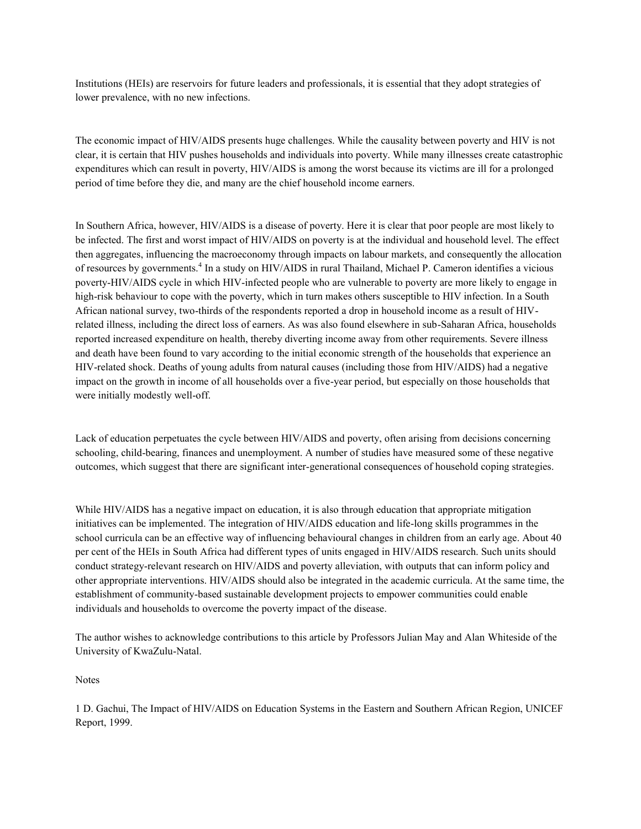Institutions (HEIs) are reservoirs for future leaders and professionals, it is essential that they adopt strategies of lower prevalence, with no new infections.

The economic impact of HIV/AIDS presents huge challenges. While the causality between poverty and HIV is not clear, it is certain that HIV pushes households and individuals into poverty. While many illnesses create catastrophic expenditures which can result in poverty, HIV/AIDS is among the worst because its victims are ill for a prolonged period of time before they die, and many are the chief household income earners.

In Southern Africa, however, HIV/AIDS is a disease of poverty. Here it is clear that poor people are most likely to be infected. The first and worst impact of HIV/AIDS on poverty is at the individual and household level. The effect then aggregates, influencing the macroeconomy through impacts on labour markets, and consequently the allocation of resources by governments.<sup>4</sup> In a study on HIV/AIDS in rural Thailand, Michael P. Cameron identifies a vicious poverty-HIV/AIDS cycle in which HIV-infected people who are vulnerable to poverty are more likely to engage in high-risk behaviour to cope with the poverty, which in turn makes others susceptible to HIV infection. In a South African national survey, two-thirds of the respondents reported a drop in household income as a result of HIVrelated illness, including the direct loss of earners. As was also found elsewhere in sub-Saharan Africa, households reported increased expenditure on health, thereby diverting income away from other requirements. Severe illness and death have been found to vary according to the initial economic strength of the households that experience an HIV-related shock. Deaths of young adults from natural causes (including those from HIV/AIDS) had a negative impact on the growth in income of all households over a five-year period, but especially on those households that were initially modestly well-off.

Lack of education perpetuates the cycle between HIV/AIDS and poverty, often arising from decisions concerning schooling, child-bearing, finances and unemployment. A number of studies have measured some of these negative outcomes, which suggest that there are significant inter-generational consequences of household coping strategies.

While HIV/AIDS has a negative impact on education, it is also through education that appropriate mitigation initiatives can be implemented. The integration of HIV/AIDS education and life-long skills programmes in the school curricula can be an effective way of influencing behavioural changes in children from an early age. About 40 per cent of the HEIs in South Africa had different types of units engaged in HIV/AIDS research. Such units should conduct strategy-relevant research on HIV/AIDS and poverty alleviation, with outputs that can inform policy and other appropriate interventions. HIV/AIDS should also be integrated in the academic curricula. At the same time, the establishment of community-based sustainable development projects to empower communities could enable individuals and households to overcome the poverty impact of the disease.

The author wishes to acknowledge contributions to this article by Professors Julian May and Alan Whiteside of the University of KwaZulu-Natal.

Notes

1 D. Gachui, The Impact of HIV/AIDS on Education Systems in the Eastern and Southern African Region, UNICEF Report, 1999.